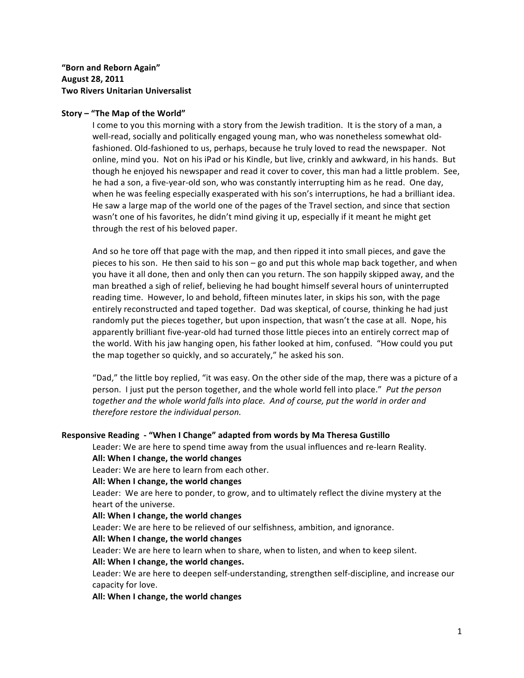# "Born and Reborn Again" **August&28,&2011 Two Rivers Unitarian Universalist**

### Story – "The Map of the World"

I come to you this morning with a story from the Jewish tradition. It is the story of a man, a well-read, socially and politically engaged young man, who was nonetheless somewhat oldfashioned. Old-fashioned to us, perhaps, because he truly loved to read the newspaper. Not online, mind you. Not on his iPad or his Kindle, but live, crinkly and awkward, in his hands. But though he enjoyed his newspaper and read it cover to cover, this man had a little problem. See, he had a son, a five-year-old son, who was constantly interrupting him as he read. One day, when he was feeling especially exasperated with his son's interruptions, he had a brilliant idea. He saw a large map of the world one of the pages of the Travel section, and since that section wasn't one of his favorites, he didn't mind giving it up, especially if it meant he might get through the rest of his beloved paper.

And so he tore off that page with the map, and then ripped it into small pieces, and gave the pieces to his son. He then said to his son – go and put this whole map back together, and when you have it all done, then and only then can you return. The son happily skipped away, and the man breathed a sigh of relief, believing he had bought himself several hours of uninterrupted reading time. However, lo and behold, fifteen minutes later, in skips his son, with the page entirely reconstructed and taped together. Dad was skeptical, of course, thinking he had just randomly put the pieces together, but upon inspection, that wasn't the case at all. Nope, his apparently brilliant five-year-old had turned those little pieces into an entirely correct map of the world. With his jaw hanging open, his father looked at him, confused. "How could you put the map together so quickly, and so accurately," he asked his son.

"Dad," the little boy replied, "it was easy. On the other side of the map, there was a picture of a person. I just put the person together, and the whole world fell into place." Put the person together and the whole world falls into place. And of course, put the world in order and therefore restore the individual person.

#### **Responsive Reading - "When I Change" adapted from words by Ma Theresa Gustillo**

Leader: We are here to spend time away from the usual influences and re-learn Reality.

# All: When I change, the world changes

Leader: We are here to learn from each other.

### All: When I change, the world changes

Leader: We are here to ponder, to grow, and to ultimately reflect the divine mystery at the heart of the universe.

#### All: When I change, the world changes

Leader: We are here to be relieved of our selfishness, ambition, and ignorance.

#### All: When I change, the world changes

Leader: We are here to learn when to share, when to listen, and when to keep silent.

#### All: When I change, the world changes.

Leader: We are here to deepen self-understanding, strengthen self-discipline, and increase our capacity for love.

#### All: When I change, the world changes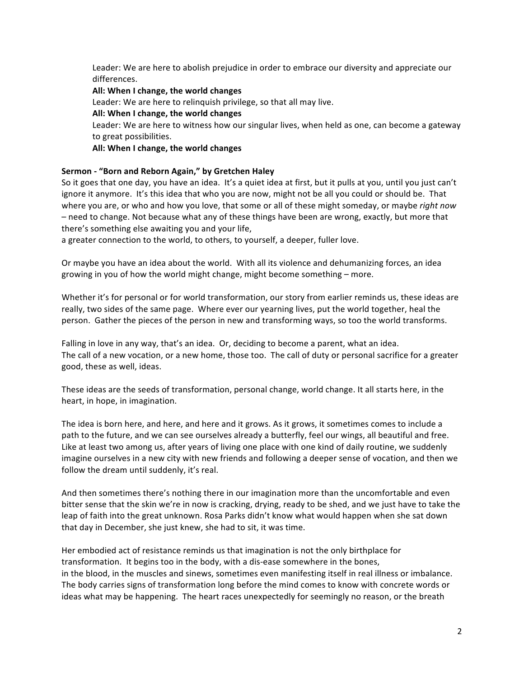Leader: We are here to abolish prejudice in order to embrace our diversity and appreciate our differences.

## **All: When I change, the world changes**

Leader: We are here to relinquish privilege, so that all may live.

## All: When I change, the world changes

Leader: We are here to witness how our singular lives, when held as one, can become a gateway to great possibilities.

## **All: When I change, the world changes**

## Sermon - "Born and Reborn Again," by Gretchen Haley

So it goes that one day, you have an idea. It's a quiet idea at first, but it pulls at you, until you just can't ignore it anymore. It's this idea that who you are now, might not be all you could or should be. That where you are, or who and how you love, that some or all of these might someday, or maybe *right now* – need to change. Not because what any of these things have been are wrong, exactly, but more that there's something else awaiting you and your life,

a greater connection to the world, to others, to yourself, a deeper, fuller love.

Or maybe you have an idea about the world. With all its violence and dehumanizing forces, an idea growing in you of how the world might change, might become something – more.

Whether it's for personal or for world transformation, our story from earlier reminds us, these ideas are really, two sides of the same page. Where ever our yearning lives, put the world together, heal the person. Gather the pieces of the person in new and transforming ways, so too the world transforms.

Falling in love in any way, that's an idea. Or, deciding to become a parent, what an idea. The call of a new vocation, or a new home, those too. The call of duty or personal sacrifice for a greater good, these as well, ideas.

These ideas are the seeds of transformation, personal change, world change. It all starts here, in the heart, in hope, in imagination.

The idea is born here, and here, and here and it grows. As it grows, it sometimes comes to include a path to the future, and we can see ourselves already a butterfly, feel our wings, all beautiful and free. Like at least two among us, after years of living one place with one kind of daily routine, we suddenly imagine ourselves in a new city with new friends and following a deeper sense of vocation, and then we follow the dream until suddenly, it's real.

And then sometimes there's nothing there in our imagination more than the uncomfortable and even bitter sense that the skin we're in now is cracking, drying, ready to be shed, and we just have to take the leap of faith into the great unknown. Rosa Parks didn't know what would happen when she sat down that day in December, she just knew, she had to sit, it was time.

Her embodied act of resistance reminds us that imagination is not the only birthplace for transformation. It begins too in the body, with a dis-ease somewhere in the bones, in the blood, in the muscles and sinews, sometimes even manifesting itself in real illness or imbalance. The body carries signs of transformation long before the mind comes to know with concrete words or ideas what may be happening. The heart races unexpectedly for seemingly no reason, or the breath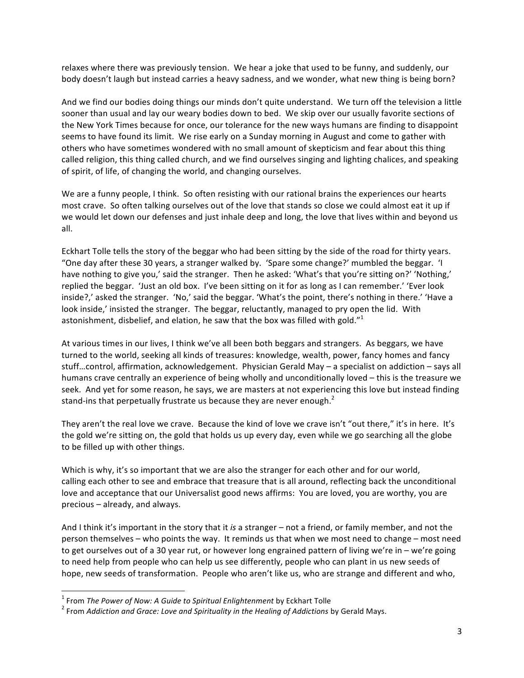relaxes where there was previously tension. We hear a joke that used to be funny, and suddenly, our body doesn't laugh but instead carries a heavy sadness, and we wonder, what new thing is being born?

And we find our bodies doing things our minds don't quite understand. We turn off the television a little sooner than usual and lay our weary bodies down to bed. We skip over our usually favorite sections of the New York Times because for once, our tolerance for the new ways humans are finding to disappoint seems to have found its limit. We rise early on a Sunday morning in August and come to gather with others who have sometimes wondered with no small amount of skepticism and fear about this thing called religion, this thing called church, and we find ourselves singing and lighting chalices, and speaking of spirit, of life, of changing the world, and changing ourselves.

We are a funny people, I think. So often resisting with our rational brains the experiences our hearts most crave. So often talking ourselves out of the love that stands so close we could almost eat it up if we would let down our defenses and just inhale deep and long, the love that lives within and beyond us all.

Eckhart Tolle tells the story of the beggar who had been sitting by the side of the road for thirty years. "One day after these 30 years, a stranger walked by. 'Spare some change?' mumbled the beggar. 'I have nothing to give you,' said the stranger. Then he asked: 'What's that you're sitting on?' 'Nothing,' replied the beggar. 'Just an old box. I've been sitting on it for as long as I can remember.' 'Ever look inside?,' asked the stranger. 'No,' said the beggar. 'What's the point, there's nothing in there.' 'Have a look inside,' insisted the stranger. The beggar, reluctantly, managed to pry open the lid. With astonishment, disbelief, and elation, he saw that the box was filled with gold."<sup>1</sup>

At various times in our lives, I think we've all been both beggars and strangers. As beggars, we have turned to the world, seeking all kinds of treasures: knowledge, wealth, power, fancy homes and fancy stuff...control, affirmation, acknowledgement. Physician Gerald May – a specialist on addiction – says all humans crave centrally an experience of being wholly and unconditionally loved – this is the treasure we seek. And yet for some reason, he says, we are masters at not experiencing this love but instead finding stand-ins that perpetually frustrate us because they are never enough.<sup>2</sup>

They aren't the real love we crave. Because the kind of love we crave isn't "out there," it's in here. It's the gold we're sitting on, the gold that holds us up every day, even while we go searching all the globe to be filled up with other things.

Which is why, it's so important that we are also the stranger for each other and for our world, calling each other to see and embrace that treasure that is all around, reflecting back the unconditional love and acceptance that our Universalist good news affirms: You are loved, you are worthy, you are precious – already, and always.

And I think it's important in the story that it *is* a stranger – not a friend, or family member, and not the person themselves – who points the way. It reminds us that when we most need to change – most need to get ourselves out of a 30 year rut, or however long engrained pattern of living we're in – we're going to need help from people who can help us see differently, people who can plant in us new seeds of hope, new seeds of transformation. People who aren't like us, who are strange and different and who,

!!!!!!!!!!!!!!!!!!!!!!!!!!!!!!!!!!!!!!!!!!!!!!!!!!!!!!!!!!!!

<sup>&</sup>lt;sup>1</sup> From *The Power of Now: A Guide to Spiritual Enlightenment* by Eckhart Tolle<br><sup>2</sup> Frame Addiction and Grace: Love and Guisituality in the Useline of Addictional

<sup>&</sup>lt;sup>2</sup> From *Addiction and Grace: Love and Spirituality in the Healing of Addictions by Gerald Mays.*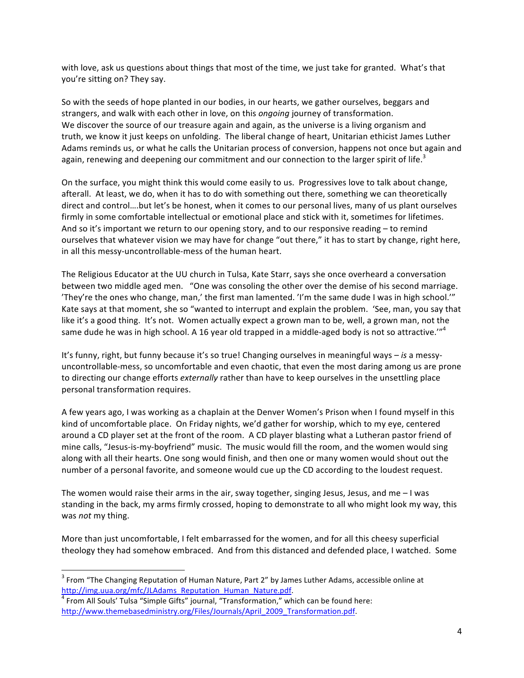with love, ask us questions about things that most of the time, we just take for granted. What's that you're sitting on? They say.

So with the seeds of hope planted in our bodies, in our hearts, we gather ourselves, beggars and strangers, and walk with each other in love, on this *ongoing* journey of transformation. We discover the source of our treasure again and again, as the universe is a living organism and truth, we know it just keeps on unfolding. The liberal change of heart, Unitarian ethicist James Luther Adams reminds us, or what he calls the Unitarian process of conversion, happens not once but again and again, renewing and deepening our commitment and our connection to the larger spirit of life.<sup>3</sup>

On the surface, you might think this would come easily to us. Progressives love to talk about change, afterall. At least, we do, when it has to do with something out there, something we can theoretically direct and control....but let's be honest, when it comes to our personal lives, many of us plant ourselves firmly in some comfortable intellectual or emotional place and stick with it, sometimes for lifetimes. And so it's important we return to our opening story, and to our responsive reading – to remind ourselves that whatever vision we may have for change "out there," it has to start by change, right here, in all this messy-uncontrollable-mess of the human heart.

The Religious Educator at the UU church in Tulsa, Kate Starr, says she once overheard a conversation between two middle aged men. "One was consoling the other over the demise of his second marriage. 'They're the ones who change, man,' the first man lamented. 'I'm the same dude I was in high school.'" Kate says at that moment, she so "wanted to interrupt and explain the problem. 'See, man, you say that like it's a good thing. It's not. Women actually expect a grown man to be, well, a grown man, not the same dude he was in high school. A 16 year old trapped in a middle-aged body is not so attractive.'"<sup>4</sup>

It's funny, right, but funny because it's so true! Changing ourselves in meaningful ways – *is* a messyuncontrollable-mess, so uncomfortable and even chaotic, that even the most daring among us are prone to directing our change efforts *externally* rather than have to keep ourselves in the unsettling place personal transformation requires.

A few years ago, I was working as a chaplain at the Denver Women's Prison when I found myself in this kind of uncomfortable place. On Friday nights, we'd gather for worship, which to my eye, centered around a CD player set at the front of the room. A CD player blasting what a Lutheran pastor friend of mine calls, "Jesus-is-my-boyfriend" music. The music would fill the room, and the women would sing along with all their hearts. One song would finish, and then one or many women would shout out the number of a personal favorite, and someone would cue up the CD according to the loudest request.

The women would raise their arms in the air, sway together, singing Jesus, Jesus, and me  $-1$  was standing in the back, my arms firmly crossed, hoping to demonstrate to all who might look my way, this was *not* my thing.

More than just uncomfortable, I felt embarrassed for the women, and for all this cheesy superficial theology they had somehow embraced. And from this distanced and defended place, I watched. Some

!!!!!!!!!!!!!!!!!!!!!!!!!!!!!!!!!!!!!!!!!!!!!!!!!!!!!!!!!!!!

 $^3$  From "The Changing Reputation of Human Nature, Part 2" by James Luther Adams, accessible online at http://img.uua.org/mfc/JLAdams\_Reputation\_Human\_Nature.pdf.

 $4$  From All Souls' Tulsa "Simple Gifts" journal, "Transformation," which can be found here: http://www.themebasedministry.org/Files/Journals/April\_2009\_Transformation.pdf.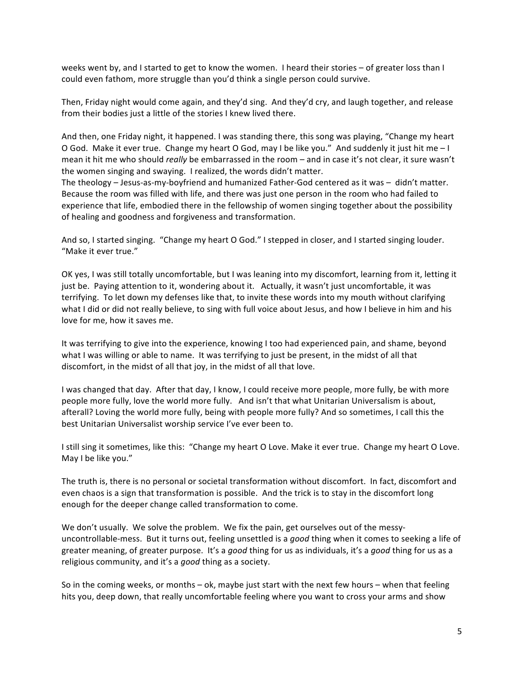weeks went by, and I started to get to know the women. I heard their stories – of greater loss than I could even fathom, more struggle than you'd think a single person could survive.

Then, Friday night would come again, and they'd sing. And they'd cry, and laugh together, and release from their bodies just a little of the stories I knew lived there.

And then, one Friday night, it happened. I was standing there, this song was playing, "Change my heart O God. Make it ever true. Change my heart O God, may I be like you." And suddenly it just hit me - I mean it hit me who should *really* be embarrassed in the room – and in case it's not clear, it sure wasn't the women singing and swaying. I realized, the words didn't matter.

The theology – Jesus-as-my-boyfriend and humanized Father-God centered as it was – didn't matter. Because the room was filled with life, and there was just one person in the room who had failed to experience that life, embodied there in the fellowship of women singing together about the possibility of healing and goodness and forgiveness and transformation.

And so, I started singing. "Change my heart O God." I stepped in closer, and I started singing louder. "Make it ever true."

OK yes, I was still totally uncomfortable, but I was leaning into my discomfort, learning from it, letting it just be. Paying attention to it, wondering about it. Actually, it wasn't just uncomfortable, it was terrifying. To let down my defenses like that, to invite these words into my mouth without clarifying what I did or did not really believe, to sing with full voice about Jesus, and how I believe in him and his love for me, how it saves me.

It was terrifying to give into the experience, knowing I too had experienced pain, and shame, beyond what I was willing or able to name. It was terrifying to just be present, in the midst of all that discomfort, in the midst of all that joy, in the midst of all that love.

I was changed that day. After that day, I know, I could receive more people, more fully, be with more people more fully, love the world more fully. And isn't that what Unitarian Universalism is about, afterall? Loving the world more fully, being with people more fully? And so sometimes, I call this the best Unitarian Universalist worship service I've ever been to.

I still sing it sometimes, like this: "Change my heart O Love. Make it ever true. Change my heart O Love. May I be like you."

The truth is, there is no personal or societal transformation without discomfort. In fact, discomfort and even chaos is a sign that transformation is possible. And the trick is to stay in the discomfort long enough for the deeper change called transformation to come.

We don't usually. We solve the problem. We fix the pain, get ourselves out of the messyuncontrollable-mess. But it turns out, feeling unsettled is a good thing when it comes to seeking a life of greater meaning, of greater purpose. It's a *good* thing for us as individuals, it's a *good* thing for us as a religious community, and it's a *good* thing as a society.

So in the coming weeks, or months – ok, maybe just start with the next few hours – when that feeling hits you, deep down, that really uncomfortable feeling where you want to cross your arms and show